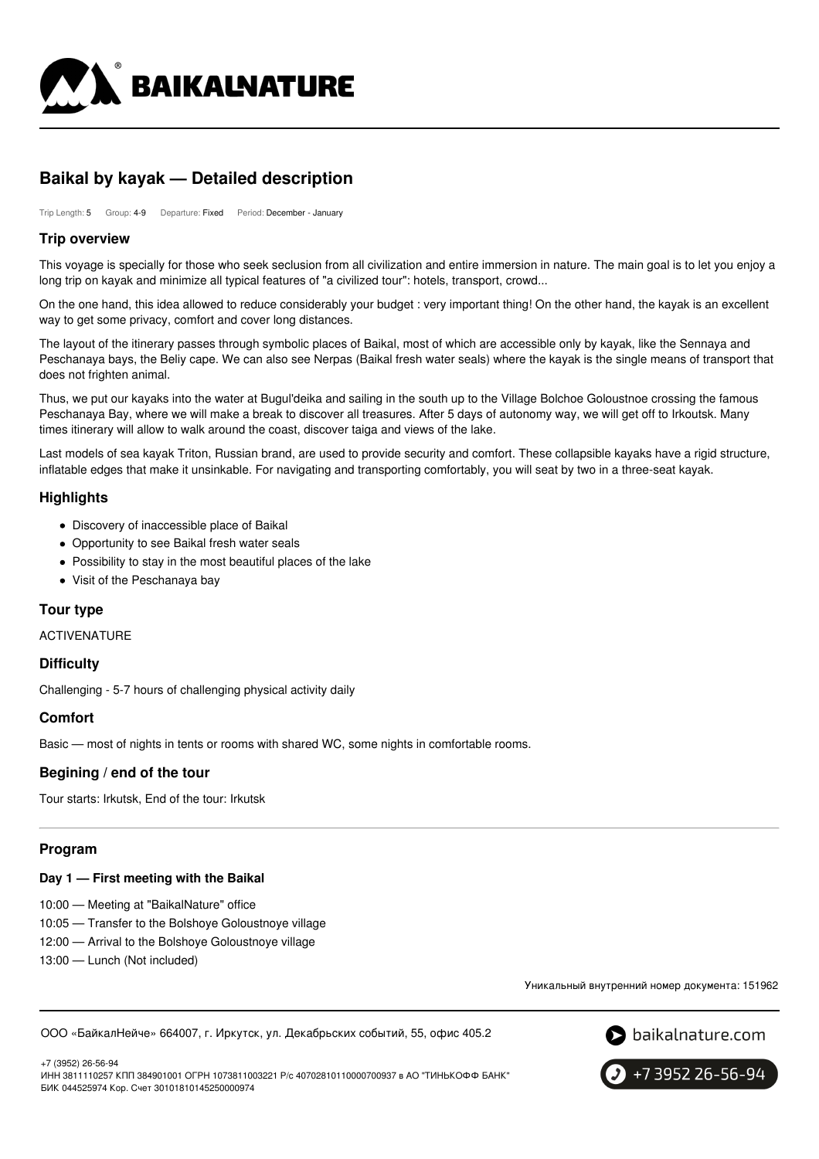

# **Baikal by kayak — Detailed description**

Trip Length: 5 Group: 4-9 Departure: Fixed Period: December - January

#### **Trip overview**

This voyage is specially for those who seek seclusion from all civilization and entire immersion in nature. The main goal is to let you enjoy a long trip on kayak and minimize all typical features of "a civilized tour": hotels, transport, crowd...

On the one hand, this idea allowed to reduce considerably your budget : very important thing! On the other hand, the kayak is an excellent way to get some privacy, comfort and cover long distances.

The layout of the itinerary passes through symbolic places of Baikal, most of which are accessible only by kayak, like the Sennaya and Peschanaya bays, the Beliy cape. We can also see Nerpas (Baikal fresh water seals) where the kayak is the single means of transport that does not frighten animal.

Thus, we put our kayaks into the water at Bugul'deika and sailing in the south up to the Village Bolchoe Goloustnoe crossing the famous Peschanaya Bay, where we will make a break to discover all treasures. After 5 days of autonomy way, we will get off to Irkoutsk. Many times itinerary will allow to walk around the coast, discover taiga and views of the lake.

Last models of sea kayak Triton, Russian brand, are used to provide security and comfort. These collapsible kayaks have a rigid structure, inflatable edges that make it unsinkable. For navigating and transporting comfortably, you will seat by two in a three-seat kayak.

#### **Highlights**

- Discovery of inaccessible place of Baikal
- Opportunity to see Baikal fresh water seals
- Possibility to stay in the most beautiful places of the lake
- Visit of the Peschanaya bay

## **Tour type**

ACTIVENATURE

#### **Difficulty**

Challenging - 5-7 hours of challenging physical activity daily

#### **Comfort**

Basic — most of nights in tents or rooms with shared WC, some nights in comfortable rooms.

#### **Begining / end of the tour**

Tour starts: Irkutsk, End of the tour: Irkutsk

#### **Program**

#### **Day 1 — First meeting with the Baikal**

10:00 — Meeting at "BaikalNature" office

- 10:05 Transfer to the Bolshoye Goloustnoye village
- 12:00 Arrival to the Bolshoye Goloustnoye village
- 13:00 Lunch (Not included)

Уникальный внутренний номер документа: 151962

ООО «БайкалНейче» 664007, г. Иркутск, ул. Декабрьских событий, 55, офис 405.2



+7 (3952) 26-56-94 ИНН 3811110257 КПП 384901001 ОГРН 1073811003221 Р/с 40702810110000700937 в АО "ТИНЬКОФФ БАНК" БИК 044525974 Кор. Счет 30101810145250000974

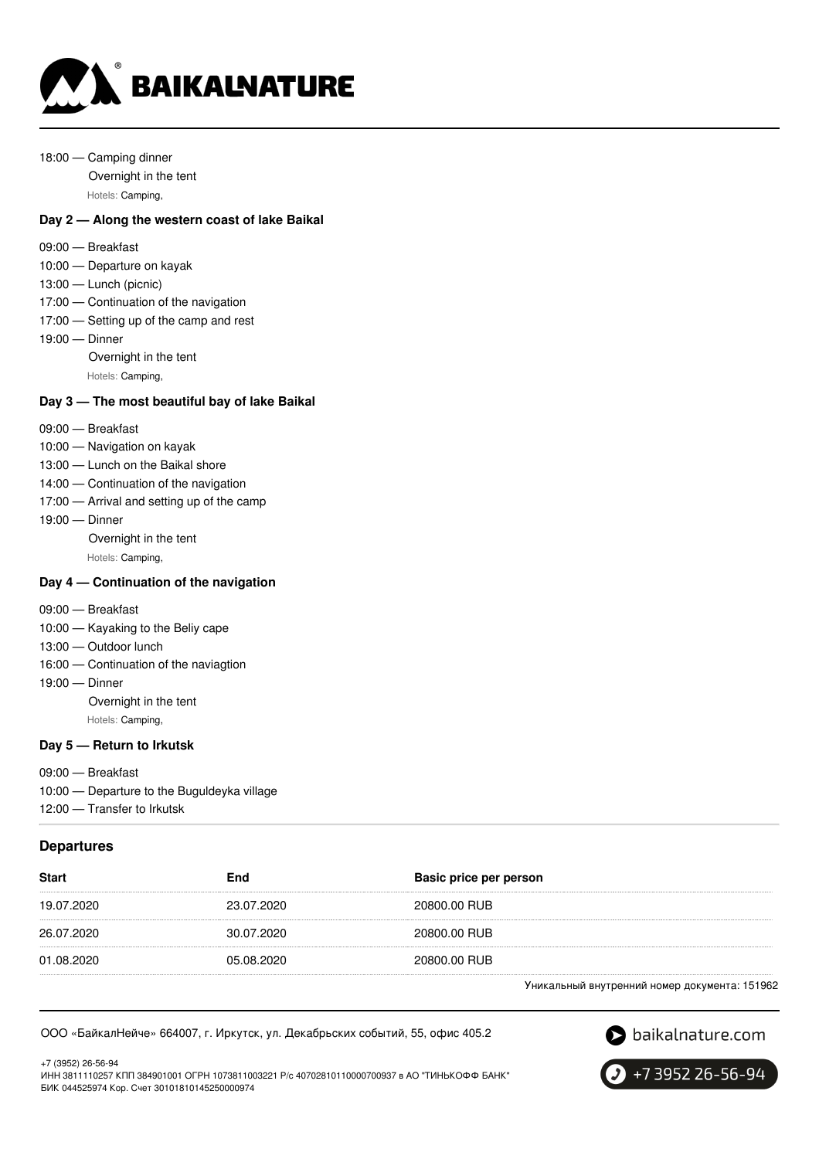

- 18:00 Camping dinner
	- Overnight in the tent

Hotels: Camping,

## **Day 2 — Along the western coast of lake Baikal**

- 09:00 Breakfast
- 10:00 Departure on kayak
- 13:00 Lunch (picnic)
- 17:00 Continuation of the navigation
- 17:00 Setting up of the camp and rest
- 19:00 Dinner Overnight in the tent Hotels: Camping,

## **Day 3 — The most beautiful bay of lake Baikal**

- 09:00 Breakfast
- 10:00 Navigation on kayak
- 13:00 Lunch on the Baikal shore
- 14:00 Continuation of the navigation
- 17:00 Arrival and setting up of the camp
- 19:00 Dinner
	- Overnight in the tent
	- Hotels: Camping,

# **Day 4 — Continuation of the navigation**

- 09:00 Breakfast
- 10:00 Kayaking to the Beliy cape
- 13:00 Outdoor lunch
- 16:00 Continuation of the naviagtion
- 19:00 Dinner
	- Overnight in the tent Hotels: Camping,

#### **Day 5 — Return to Irkutsk**

- 09:00 Breakfast
- 10:00 Departure to the Buguldeyka village
- 12:00 Transfer to Irkutsk

#### **Departures**

| <b>Start</b> | End        | Basic price per person |
|--------------|------------|------------------------|
| 19.07.2020   | 23.07.2020 | 20800.00 RUB           |
| 26.07.2020   | 30.07.2020 | 20800.00 RUB           |
| 01.08.2020   | 05.08.2020 | 20800.00 RUB           |
|              |            |                        |

Уникальный внутренний номер документа: 151962

ООО «БайкалНейче» 664007, г. Иркутск, ул. Декабрьских событий, 55, офис 405.2

S baikalnature.com

+7 (3952) 26-56-94 ИНН 3811110257 КПП 384901001 ОГРН 1073811003221 Р/с 40702810110000700937 в АО "ТИНЬКОФФ БАНК" БИК 044525974 Кор. Счет 30101810145250000974

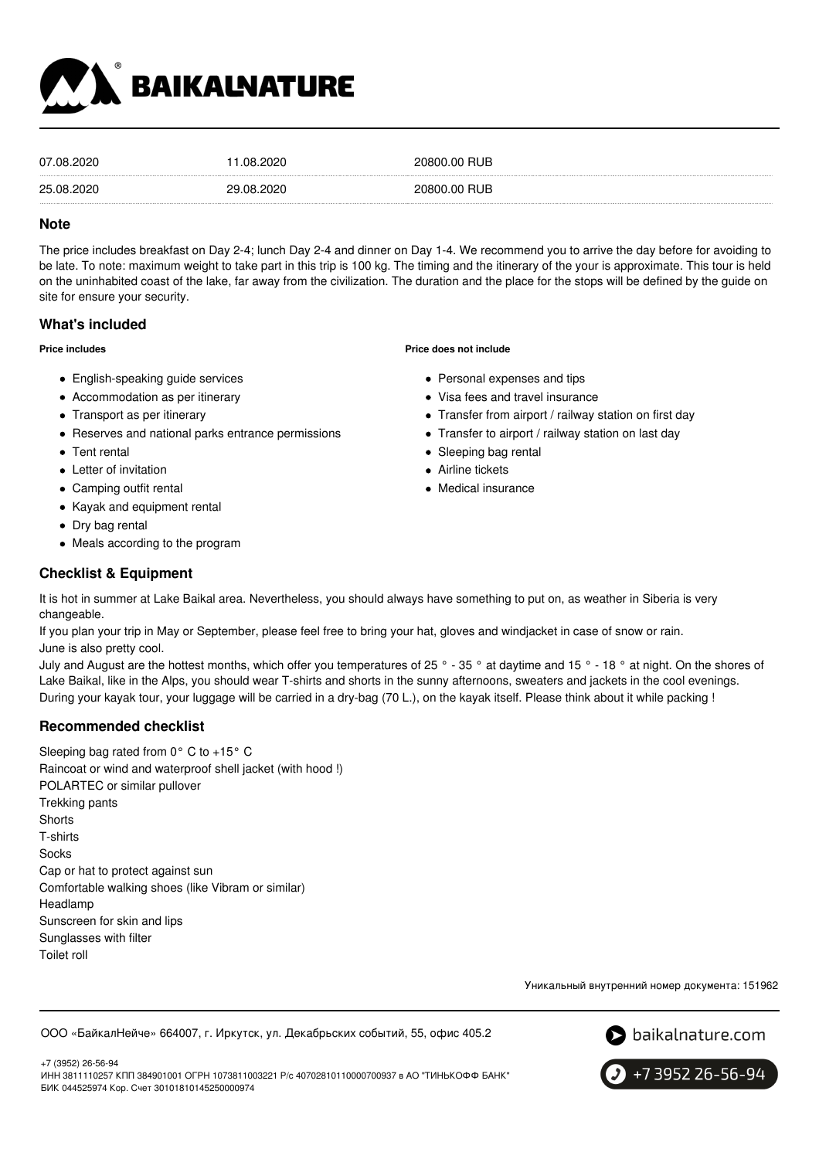

| 07.08.2020 | .08.2020   | 20800.00 RUB |
|------------|------------|--------------|
| 25.08.2020 | 29.08.2020 | 20800.00 RUB |

#### **Note**

The price includes breakfast on Day 2-4; lunch Day 2-4 and dinner on Day 1-4. We recommend you to arrive the day before for avoiding to be late. To note: maximum weight to take part in this trip is 100 kg. The timing and the itinerary of the your is approximate. This tour is held on the uninhabited coast of the lake, far away from the civilization. The duration and the place for the stops will be defined by the guide on site for ensure your security.

## **What's included**

#### **Price includes**

- English-speaking guide services
- Accommodation as per itinerary
- Transport as per itinerary
- Reserves and national parks entrance permissions
- Tent rental
- Letter of invitation
- Camping outfit rental
- Kayak and equipment rental
- Dry bag rental
- Meals according to the program

#### **Checklist & Equipment**

It is hot in summer at Lake Baikal area. Nevertheless, you should always have something to put on, as weather in Siberia is very changeable.

If you plan your trip in May or September, please feel free to bring your hat, gloves and windjacket in case of snow or rain. June is also pretty cool.

July and August are the hottest months, which offer you temperatures of 25 ° - 35 ° at daytime and 15 ° - 18 ° at night. On the shores of Lake Baikal, like in the Alps, you should wear T-shirts and shorts in the sunny afternoons, sweaters and jackets in the cool evenings. During your kayak tour, your luggage will be carried in a dry-bag (70 L.), on the kayak itself. Please think about it while packing !

# **Recommended checklist**

Sleeping bag rated from 0° C to +15° C Raincoat or wind and waterproof shell jacket (with hood !) POLARTEC or similar pullover Trekking pants **Shorts** T-shirts **Socks** Cap or hat to protect against sun Comfortable walking shoes (like Vibram or similar) Headlamp Sunscreen for skin and lips Sunglasses with filter Toilet roll

Уникальный внутренний номер документа: 151962

ООО «БайкалНейче» 664007, г. Иркутск, ул. Декабрьских событий, 55, офис 405.2



+7 (3952) 26-56-94 ИНН 3811110257 КПП 384901001 ОГРН 1073811003221 Р/с 40702810110000700937 в АО "ТИНЬКОФФ БАНК" БИК 044525974 Кор. Счет 30101810145250000974



# **Price does not include**

- Personal expenses and tips
- Visa fees and travel insurance
- Transfer from airport / railway station on first day
- Transfer to airport / railway station on last day
- Sleeping bag rental
- Airline tickets
- Medical insurance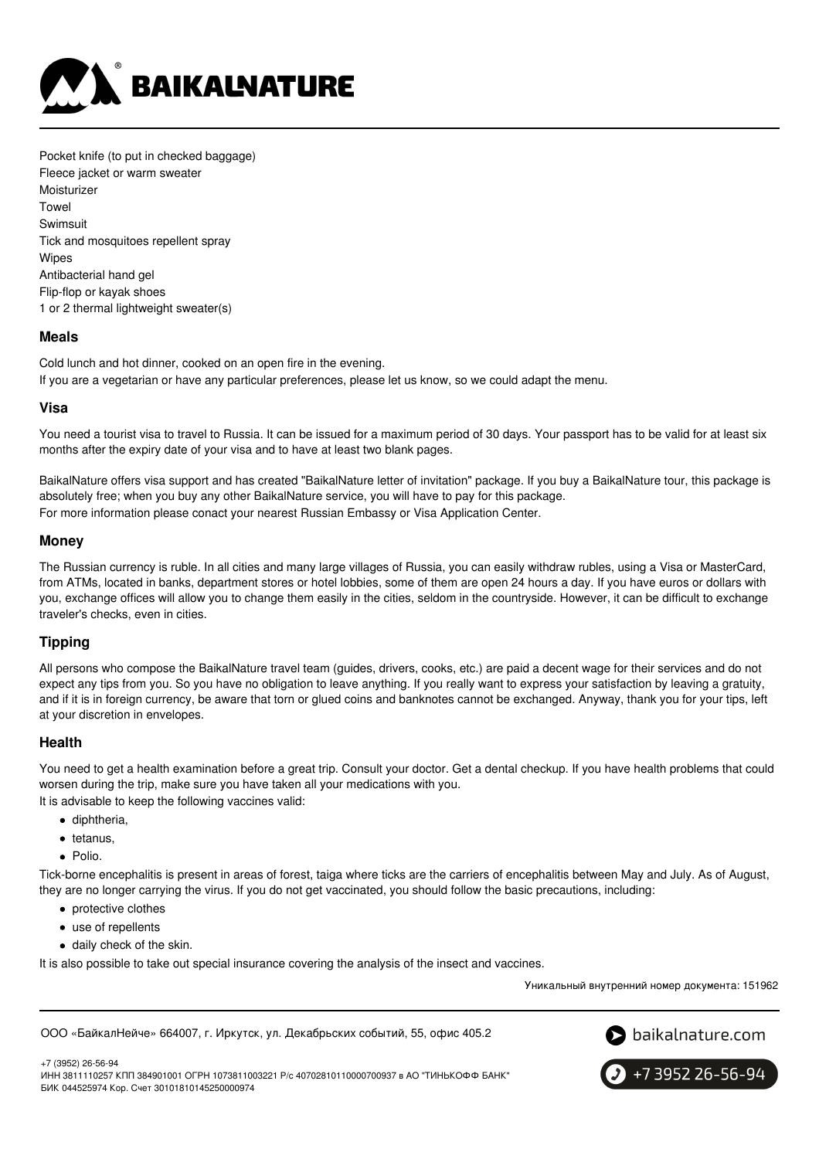

Pocket knife (to put in checked baggage) Fleece jacket or warm sweater **Moisturizer Towel** Swimsuit Tick and mosquitoes repellent spray **Wipes** Antibacterial hand gel Flip-flop or kayak shoes 1 or 2 thermal lightweight sweater(s)

#### **Meals**

Cold lunch and hot dinner, cooked on an open fire in the evening. If you are a vegetarian or have any particular preferences, please let us know, so we could adapt the menu.

## **Visa**

You need a tourist visa to travel to Russia. It can be issued for a maximum period of 30 days. Your passport has to be valid for at least six months after the expiry date of your visa and to have at least two blank pages.

BaikalNature offers visa support and has created "BaikalNature letter of invitation" package. If you buy a BaikalNature tour, this package is absolutely free; when you buy any other BaikalNature service, you will have to pay for this package. For more information please conact your nearest Russian Embassy or Visa Application Center.

## **Money**

The Russian currency is ruble. In all cities and many large villages of Russia, you can easily withdraw rubles, using a Visa or MasterCard, from ATMs, located in banks, department stores or hotel lobbies, some of them are open 24 hours a day. If you have euros or dollars with you, exchange offices will allow you to change them easily in the cities, seldom in the countryside. However, it can be difficult to exchange traveler's checks, even in cities.

# **Tipping**

All persons who compose the BaikalNature travel team (guides, drivers, cooks, etc.) are paid a decent wage for their services and do not expect any tips from you. So you have no obligation to leave anything. If you really want to express your satisfaction by leaving a gratuity, and if it is in foreign currency, be aware that torn or glued coins and banknotes cannot be exchanged. Anyway, thank you for your tips, left at your discretion in envelopes.

#### **Health**

You need to get a health examination before a great trip. Consult your doctor. Get a dental checkup. If you have health problems that could worsen during the trip, make sure you have taken all your medications with you.

It is advisable to keep the following vaccines valid:

- diphtheria.
- tetanus,
- Polio.

Tick-borne encephalitis is present in areas of forest, taiga where ticks are the carriers of encephalitis between May and July. As of August, they are no longer carrying the virus. If you do not get vaccinated, you should follow the basic precautions, including:

- protective clothes
- use of repellents
- daily check of the skin.

It is also possible to take out special insurance covering the analysis of the insect and vaccines.

Уникальный внутренний номер документа: 151962

ООО «БайкалНейче» 664007, г. Иркутск, ул. Декабрьских событий, 55, офис 405.2



+7 (3952) 26-56-94

ИНН 3811110257 КПП 384901001 ОГРН 1073811003221 Р/с 40702810110000700937 в АО "ТИНЬКОФФ БАНК" БИК 044525974 Кор. Счет 30101810145250000974